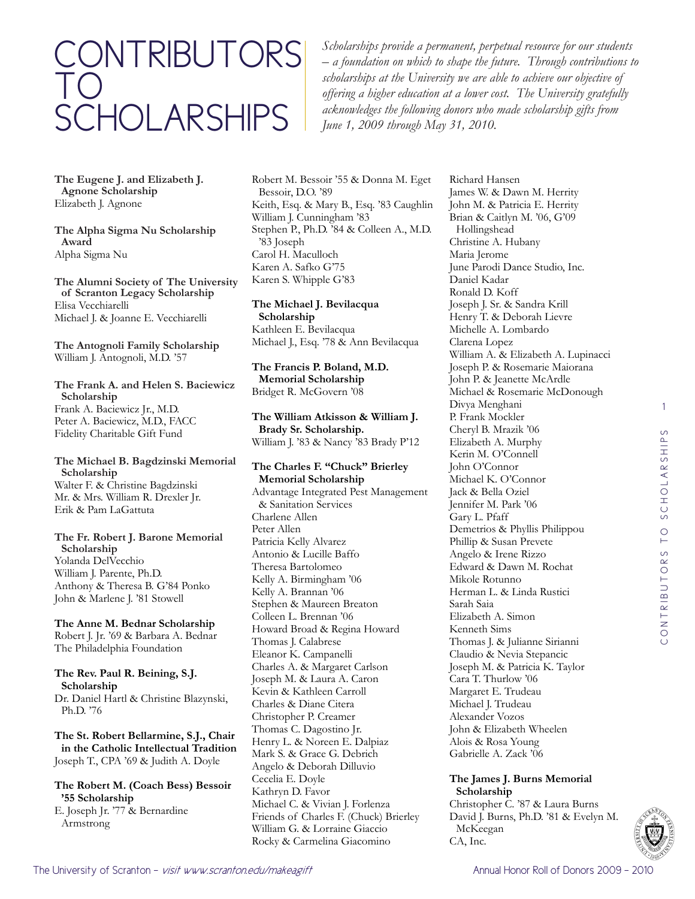# contributors to **SCHOLARSHIPS**

*Scholarships provide a permanent, perpetual resource for our students – a foundation on which to shape the future. Through contributions to scholarships at the University we are able to achieve our objective of offering a higher education at a lower cost. The University gratefully acknowledges the following donors who made scholarship gifts from June 1, 2009 through May 31, 2010.*

**The Eugene J. and Elizabeth J. Agnone Scholarship** Elizabeth J. Agnone

**The Alpha Sigma Nu Scholarship Award** Alpha Sigma Nu

**The Alumni Society of The University of Scranton Legacy Scholarship** Elisa Vecchiarelli Michael J. & Joanne E. Vecchiarelli

**The Antognoli Family Scholarship** William J. Antognoli, M.D. '57

**The Frank A. and Helen S. Baciewicz Scholarship** Frank A. Baciewicz Jr., M.D. Peter A. Baciewicz, M.D., FACC Fidelity Charitable Gift Fund

**The Michael B. Bagdzinski Memorial Scholarship** Walter F. & Christine Bagdzinski

Mr. & Mrs. William R. Drexler Jr. Erik & Pam LaGattuta

#### **The Fr. Robert J. Barone Memorial Scholarship** Yolanda DelVecchio William J. Parente, Ph.D.

Anthony & Theresa B. G'84 Ponko John & Marlene J. '81 Stowell

**The Anne M. Bednar Scholarship** Robert J. Jr. '69 & Barbara A. Bednar The Philadelphia Foundation

**The Rev. Paul R. Beining, S.J. Scholarship** Dr. Daniel Hartl & Christine Blazynski, Ph.D. '76

**The St. Robert Bellarmine, S.J., Chair in the Catholic Intellectual Tradition** Joseph T., CPA '69 & Judith A. Doyle

**The Robert M. (Coach Bess) Bessoir '55 Scholarship**

E. Joseph Jr. '77 & Bernardine Armstrong

Robert M. Bessoir '55 & Donna M. Eget Bessoir, D.O. '89 Keith, Esq. & Mary B., Esq. '83 Caughlin William J. Cunningham '83 Stephen P., Ph.D. '84 & Colleen A., M.D. '83 Joseph Carol H. Maculloch Karen A. Safko G'75 Karen S. Whipple G'83

**The Michael J. Bevilacqua Scholarship** Kathleen E. Bevilacqua Michael J., Esq. '78 & Ann Bevilacqua

**The Francis P. Boland, M.D. Memorial Scholarship** Bridget R. McGovern '08

**The William Atkisson & William J. Brady Sr. Scholarship.** William J. '83 & Nancy '83 Brady P'12

**The Charles F. "Chuck" Brierley Memorial Scholarship** Advantage Integrated Pest Management & Sanitation Services Charlene Allen Peter Allen Patricia Kelly Alvarez

Antonio & Lucille Baffo Theresa Bartolomeo Kelly A. Birmingham '06 Kelly A. Brannan '06 Stephen & Maureen Breaton Colleen L. Brennan '06 Howard Broad & Regina Howard Thomas J. Calabrese Eleanor K. Campanelli Charles A. & Margaret Carlson Joseph M. & Laura A. Caron Kevin & Kathleen Carroll Charles & Diane Citera Christopher P. Creamer Thomas C. Dagostino Jr. Henry L. & Noreen E. Dalpiaz Mark S. & Grace G. Debrich Angelo & Deborah Dilluvio Cecelia E. Doyle Kathryn D. Favor Michael C. & Vivian J. Forlenza Friends of Charles F. (Chuck) Brierley William G. & Lorraine Giaccio Rocky & Carmelina Giacomino

Richard Hansen James W. & Dawn M. Herrity John M. & Patricia E. Herrity Brian & Caitlyn M. '06, G'09 Hollingshead Christine A. Hubany Maria Jerome June Parodi Dance Studio, Inc. Daniel Kadar Ronald D. Koff Joseph J. Sr. & Sandra Krill Henry T. & Deborah Lievre Michelle A. Lombardo Clarena Lopez William A. & Elizabeth A. Lupinacci Joseph P. & Rosemarie Maiorana John P. & Jeanette McArdle Michael & Rosemarie McDonough Divya Menghani P. Frank Mockler Cheryl B. Mrazik '06 Elizabeth A. Murphy Kerin M. O'Connell John O'Connor Michael K. O'Connor Jack & Bella Oziel Jennifer M. Park '06 Gary L. Pfaff Demetrios & Phyllis Philippou Phillip & Susan Prevete Angelo & Irene Rizzo Edward & Dawn M. Rochat Mikole Rotunno Herman L. & Linda Rustici Sarah Saia Elizabeth A. Simon Kenneth Sims Thomas J. & Julianne Sirianni Claudio & Nevia Stepancic Joseph M. & Patricia K. Taylor Cara T. Thurlow '06 Margaret E. Trudeau Michael J. Trudeau Alexander Vozos John & Elizabeth Wheelen Alois & Rosa Young Gabrielle A. Zack '06

# **The James J. Burns Memorial Scholarship**

Christopher C. '87 & Laura Burns David J. Burns, Ph.D. '81 & Evelyn M. McKeegan CA, Inc.

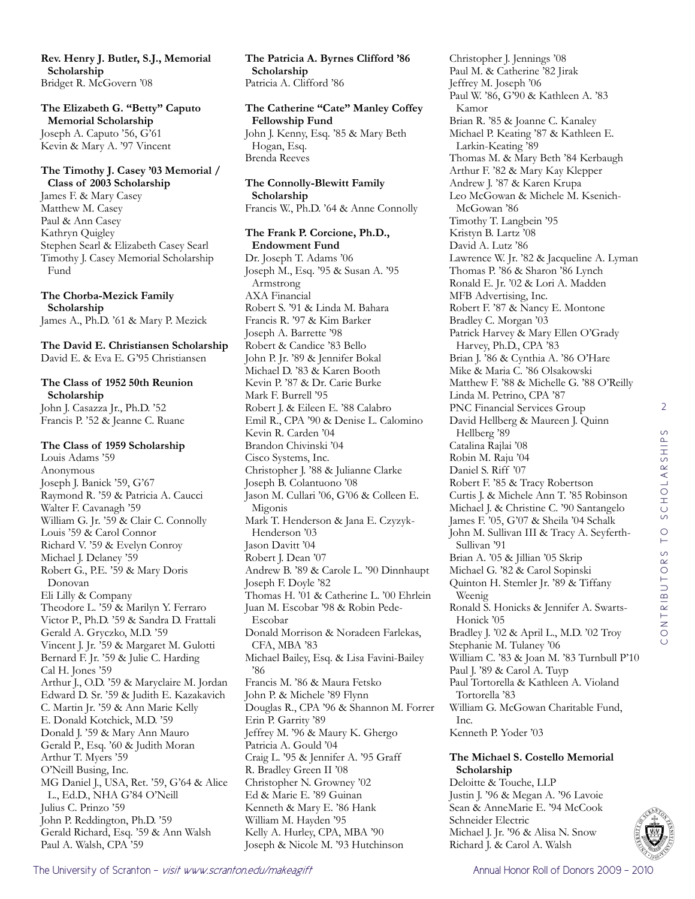**Rev. Henry J. Butler, S.J., Memorial Scholarship** Bridget R. McGovern '08

**The Elizabeth G. "Betty" Caputo Memorial Scholarship** Joseph A. Caputo '56, G'61 Kevin & Mary A. '97 Vincent

#### **The Timothy J. Casey '03 Memorial / Class of 2003 Scholarship**

James F. & Mary Casey Matthew M. Casey Paul & Ann Casey Kathryn Quigley Stephen Searl & Elizabeth Casey Searl Timothy J. Casey Memorial Scholarship Fund

**The Chorba-Mezick Family Scholarship** James A., Ph.D. '61 & Mary P. Mezick

**The David E. Christiansen Scholarship** David E. & Eva E. G'95 Christiansen

# **The Class of 1952 50th Reunion Scholarship**

John J. Casazza Jr., Ph.D. '52 Francis P. '52 & Jeanne C. Ruane

## **The Class of 1959 Scholarship**

Louis Adams '59 Anonymous Joseph J. Banick '59, G'67 Raymond R. '59 & Patricia A. Caucci Walter F. Cavanagh '59 William G. Jr. '59 & Clair C. Connolly Louis '59 & Carol Connor Richard V. '59 & Evelyn Conroy Michael J. Delaney '59 Robert G., P.E. '59 & Mary Doris Donovan Eli Lilly & Company Theodore L. '59 & Marilyn Y. Ferraro Victor P., Ph.D. '59 & Sandra D. Frattali Gerald A. Gryczko, M.D. '59 Vincent J. Jr. '59 & Margaret M. Gulotti Bernard F. Jr. '59 & Julie C. Harding Cal H. Jones '59 Arthur J., O.D. '59 & Maryclaire M. Jordan Edward D. Sr. '59 & Judith E. Kazakavich C. Martin Jr. '59 & Ann Marie Kelly E. Donald Kotchick, M.D. '59 Donald J. '59 & Mary Ann Mauro Gerald P., Esq. '60 & Judith Moran Arthur T. Myers '59 O'Neill Busing, Inc. MG Daniel J., USA, Ret. '59, G'64 & Alice L., Ed.D., NHA G'84 O'Neill Julius C. Prinzo '59 John P. Reddington, Ph.D. '59 Gerald Richard, Esq. '59 & Ann Walsh Paul A. Walsh, CPA '59

**The Patricia A. Byrnes Clifford '86 Scholarship** Patricia A. Clifford '86

**The Catherine "Cate" Manley Coffey Fellowship Fund** John J. Kenny, Esq. '85 & Mary Beth Hogan, Esq. Brenda Reeves

**The Connolly-Blewitt Family Scholarship** Francis W., Ph.D. '64 & Anne Connolly

**The Frank P. Corcione, Ph.D., Endowment Fund**

Dr. Joseph T. Adams '06 Joseph M., Esq. '95 & Susan A. '95 Armstrong AXA Financial Robert S. '91 & Linda M. Bahara Francis R. '97 & Kim Barker Joseph A. Barrette '98 Robert & Candice '83 Bello John P. Jr. '89 & Jennifer Bokal Michael D. '83 & Karen Booth Kevin P. '87 & Dr. Carie Burke Mark F. Burrell '95 Robert J. & Eileen E. '88 Calabro Emil R., CPA '90 & Denise L. Calomino Kevin R. Carden '04 Brandon Chivinski '04 Cisco Systems, Inc. Christopher J. '88 & Julianne Clarke Joseph B. Colantuono '08 Jason M. Cullari '06, G'06 & Colleen E. Migonis Mark T. Henderson & Jana E. Czyzyk-Henderson '03 Jason Davitt '04 Robert J. Dean '07 Andrew B. '89 & Carole L. '90 Dinnhaupt Joseph F. Doyle '82 Thomas H. '01 & Catherine L. '00 Ehrlein Juan M. Escobar '98 & Robin Pede-Escobar Donald Morrison & Noradeen Farlekas, CFA, MBA '83 Michael Bailey, Esq. & Lisa Favini-Bailey '86 Francis M. '86 & Maura Fetsko John P. & Michele '89 Flynn Douglas R., CPA '96 & Shannon M. Forrer Erin P. Garrity '89 Jeffrey M. '96 & Maury K. Ghergo Patricia A. Gould '04 Craig L. '95 & Jennifer A. '95 Graff R. Bradley Green II '08 Christopher N. Growney '02 Ed & Marie E. '89 Guinan Kenneth & Mary E. '86 Hank William M. Hayden '95 Kelly A. Hurley, CPA, MBA '90 Joseph & Nicole M. '93 Hutchinson

Paul M. & Catherine '82 Jirak Jeffrey M. Joseph '06 Paul W. '86, G'90 & Kathleen A. '83 Kamor Brian R. '85 & Joanne C. Kanaley Michael P. Keating '87 & Kathleen E. Larkin-Keating '89 Thomas M. & Mary Beth '84 Kerbaugh Arthur F. '82 & Mary Kay Klepper Andrew J. '87 & Karen Krupa Leo McGowan & Michele M. Ksenich-McGowan '86 Timothy T. Langbein '95 Kristyn B. Lartz '08 David A. Lutz '86 Lawrence W. Jr. '82 & Jacqueline A. Lyman Thomas P. '86 & Sharon '86 Lynch Ronald E. Jr. '02 & Lori A. Madden MFB Advertising, Inc. Robert F. '87 & Nancy E. Montone Bradley C. Morgan '03 Patrick Harvey & Mary Ellen O'Grady Harvey, Ph.D., CPA '83 Brian J. '86 & Cynthia A. '86 O'Hare Mike & Maria C. '86 Olsakowski Matthew F. '88 & Michelle G. '88 O'Reilly Linda M. Petrino, CPA '87 PNC Financial Services Group David Hellberg & Maureen J. Quinn Hellberg '89 Catalina Rajlai '08 Robin M. Raju '04 Daniel S. Riff '07 Robert F. '85 & Tracy Robertson Curtis J. & Michele Ann T. '85 Robinson Michael J. & Christine C. '90 Santangelo James F. '05, G'07 & Sheila '04 Schalk John M. Sullivan III & Tracy A. Seyferth-Sullivan '91 Brian A. '05 & Jillian '05 Skrip Michael G. '82 & Carol Sopinski Quinton H. Stemler Jr. '89 & Tiffany Weenig Ronald S. Honicks & Jennifer A. Swarts-Honick '05 Bradley J. '02 & April L., M.D. '02 Troy Stephanie M. Tulaney '06 William C. '83 & Joan M. '83 Turnbull P'10 Paul J. '89 & Carol A. Tuyp Paul Tortorella & Kathleen A. Violand Tortorella '83 William G. McGowan Charitable Fund, Inc. Kenneth P. Yoder '03

Christopher J. Jennings '08

## **The Michael S. Costello Memorial Scholarship**

Deloitte & Touche, LLP Justin J. '96 & Megan A. '96 Lavoie Sean & AnneMarie E. '94 McCook Schneider Electric Michael J. Jr. '96 & Alisa N. Snow Richard J. & Carol A. Walsh

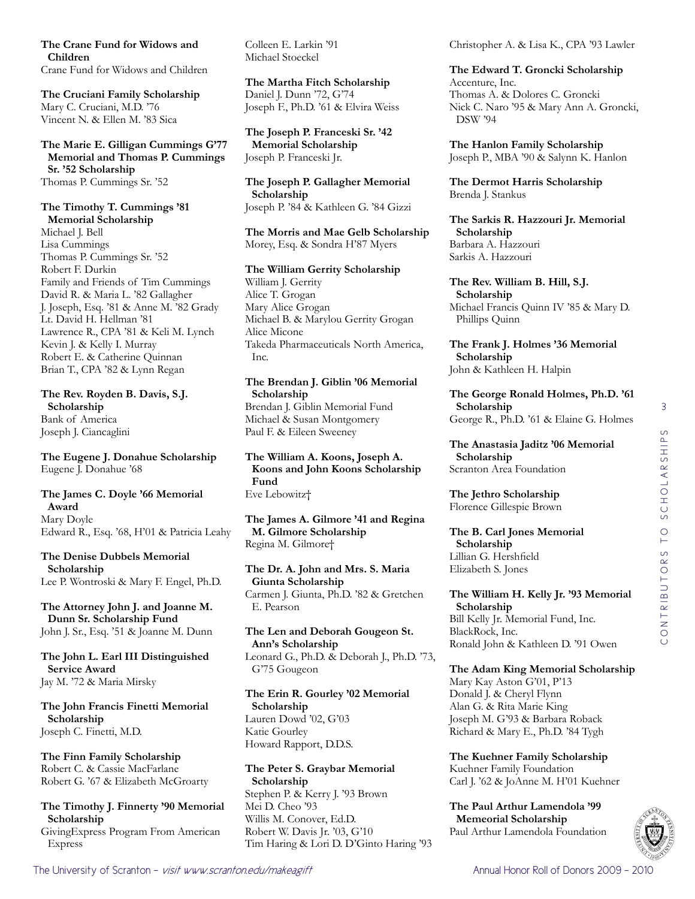**The Crane Fund for Widows and Children** Crane Fund for Widows and Children

**The Cruciani Family Scholarship** Mary C. Cruciani, M.D. '76 Vincent N. & Ellen M. '83 Sica

**The Marie E. Gilligan Cummings G'77 Memorial and Thomas P. Cummings Sr. '52 Scholarship** Thomas P. Cummings Sr. '52

# **The Timothy T. Cummings '81**

**Memorial Scholarship** Michael J. Bell Lisa Cummings Thomas P. Cummings Sr. '52 Robert F. Durkin Family and Friends of Tim Cummings David R. & Maria L. '82 Gallagher J. Joseph, Esq. '81 & Anne M. '82 Grady Lt. David H. Hellman '81 Lawrence R., CPA '81 & Keli M. Lynch Kevin J. & Kelly I. Murray Robert E. & Catherine Quinnan Brian T., CPA '82 & Lynn Regan

**The Rev. Royden B. Davis, S.J. Scholarship** Bank of America Joseph J. Ciancaglini

**The Eugene J. Donahue Scholarship** Eugene J. Donahue '68

#### **The James C. Doyle '66 Memorial Award** Mary Doyle Edward R., Esq. '68, H'01 & Patricia Leahy

**The Denise Dubbels Memorial Scholarship** Lee P. Wontroski & Mary F. Engel, Ph.D.

**The Attorney John J. and Joanne M. Dunn Sr. Scholarship Fund** John J. Sr., Esq. '51 & Joanne M. Dunn

**The John L. Earl III Distinguished Service Award** Jay M. '72 & Maria Mirsky

**The John Francis Finetti Memorial Scholarship** Joseph C. Finetti, M.D.

**The Finn Family Scholarship** Robert C. & Cassie MacFarlane Robert G. '67 & Elizabeth McGroarty

**The Timothy J. Finnerty '90 Memorial Scholarship**

GivingExpress Program From American Express

Colleen E. Larkin '91 Michael Stoeckel

## **The Martha Fitch Scholarship** Daniel J. Dunn '72, G'74 Joseph F., Ph.D. '61 & Elvira Weiss

**The Joseph P. Franceski Sr. '42 Memorial Scholarship** Joseph P. Franceski Jr.

**The Joseph P. Gallagher Memorial Scholarship** Joseph P. '84 & Kathleen G. '84 Gizzi

**The Morris and Mae Gelb Scholarship** Morey, Esq. & Sondra H'87 Myers

## **The William Gerrity Scholarship**

William J. Gerrity Alice T. Grogan Mary Alice Grogan Michael B. & Marylou Gerrity Grogan Alice Micone Takeda Pharmaceuticals North America, Inc.

# **The Brendan J. Giblin '06 Memorial Scholarship**

Brendan J. Giblin Memorial Fund Michael & Susan Montgomery Paul F. & Eileen Sweeney

**The William A. Koons, Joseph A. Koons and John Koons Scholarship Fund** Eve Lebowitz†

**The James A. Gilmore '41 and Regina M. Gilmore Scholarship** Regina M. Gilmore†

**The Dr. A. John and Mrs. S. Maria Giunta Scholarship** Carmen J. Giunta, Ph.D. '82 & Gretchen E. Pearson

**The Len and Deborah Gougeon St. Ann's Scholarship** Leonard G., Ph.D. & Deborah J., Ph.D. '73, G'75 Gougeon

**The Erin R. Gourley '02 Memorial Scholarship** Lauren Dowd '02, G'03 Katie Gourley Howard Rapport, D.D.S.

## **The Peter S. Graybar Memorial Scholarship** Stephen P. & Kerry J. '93 Brown Mei D. Cheo '93 Willis M. Conover, Ed.D. Robert W. Davis Jr. '03, G'10 Tim Haring & Lori D. D'Ginto Haring '93

Christopher A. & Lisa K., CPA '93 Lawler

**The Edward T. Groncki Scholarship** Accenture, Inc. Thomas A. & Dolores C. Groncki Nick C. Naro '95 & Mary Ann A. Groncki, DSW '94

**The Hanlon Family Scholarship** Joseph P., MBA '90 & Salynn K. Hanlon

**The Dermot Harris Scholarship** Brenda J. Stankus

**The Sarkis R. Hazzouri Jr. Memorial Scholarship** Barbara A. Hazzouri Sarkis A. Hazzouri

**The Rev. William B. Hill, S.J. Scholarship** Michael Francis Quinn IV '85 & Mary D. Phillips Quinn

**The Frank J. Holmes '36 Memorial Scholarship** John & Kathleen H. Halpin

**The George Ronald Holmes, Ph.D. '61 Scholarship** George R., Ph.D. '61 & Elaine G. Holmes

**The Anastasia Jaditz '06 Memorial Scholarship** Scranton Area Foundation

**The Jethro Scholarship** Florence Gillespie Brown

**The B. Carl Jones Memorial Scholarship** Lillian G. Hershfield Elizabeth S. Jones

**The William H. Kelly Jr. '93 Memorial Scholarship** Bill Kelly Jr. Memorial Fund, Inc. BlackRock, Inc. Ronald John & Kathleen D. '91 Owen

**The Adam King Memorial Scholarship** Mary Kay Aston G'01, P'13 Donald J. & Cheryl Flynn Alan G. & Rita Marie King Joseph M. G'93 & Barbara Roback Richard & Mary E., Ph.D. '84 Tygh

**The Kuehner Family Scholarship** Kuehner Family Foundation Carl J. '62 & JoAnne M. H'01 Kuehner

**The Paul Arthur Lamendola '99 Memeorial Scholarship** Paul Arthur Lamendola Foundation

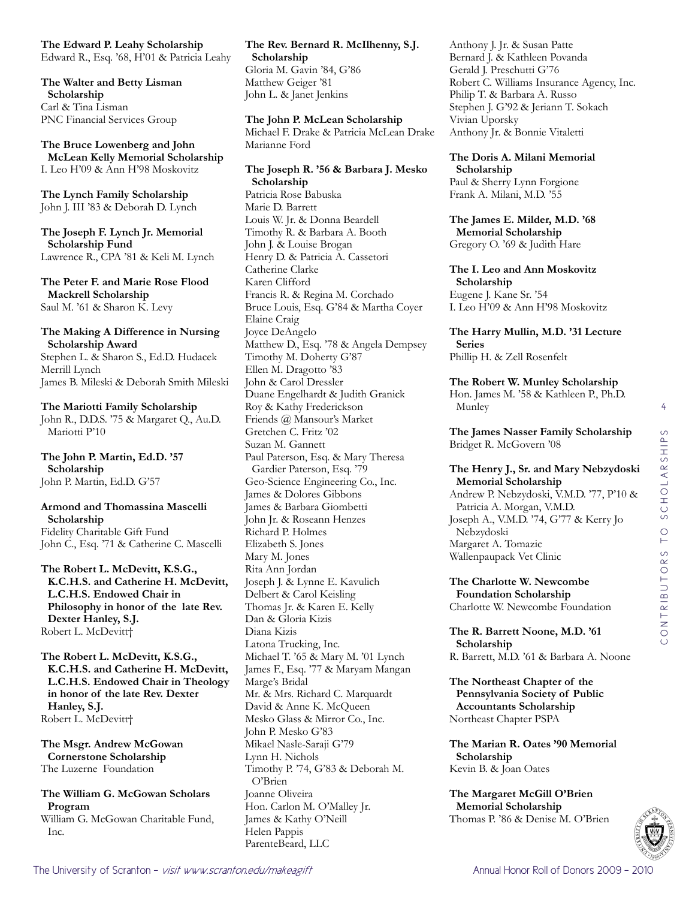**The Edward P. Leahy Scholarship** Edward R., Esq. '68, H'01 & Patricia Leahy

**The Walter and Betty Lisman Scholarship** Carl & Tina Lisman PNC Financial Services Group

**The Bruce Lowenberg and John McLean Kelly Memorial Scholarship** I. Leo H'09 & Ann H'98 Moskovitz

**The Lynch Family Scholarship** John J. III '83 & Deborah D. Lynch

**The Joseph F. Lynch Jr. Memorial Scholarship Fund** Lawrence R., CPA '81 & Keli M. Lynch

**The Peter F. and Marie Rose Flood Mackrell Scholarship** Saul M. '61 & Sharon K. Levy

## **The Making A Difference in Nursing Scholarship Award**

Stephen L. & Sharon S., Ed.D. Hudacek Merrill Lynch James B. Mileski & Deborah Smith Mileski

## **The Mariotti Family Scholarship**

John R., D.D.S. '75 & Margaret Q., Au.D. Mariotti P'10

**The John P. Martin, Ed.D. '57 Scholarship** John P. Martin, Ed.D. G'57

# **Armond and Thomassina Mascelli Scholarship**

Fidelity Charitable Gift Fund John C., Esq. '71 & Catherine C. Mascelli

**The Robert L. McDevitt, K.S.G., K.C.H.S. and Catherine H. McDevitt, L.C.H.S. Endowed Chair in Philosophy in honor of the late Rev. Dexter Hanley, S.J.** Robert L. McDevitt†

**The Robert L. McDevitt, K.S.G., K.C.H.S. and Catherine H. McDevitt, L.C.H.S. Endowed Chair in Theology in honor of the late Rev. Dexter Hanley, S.J.** Robert L. McDevitt†

**The Msgr. Andrew McGowan Cornerstone Scholarship** The Luzerne Foundation

**The William G. McGowan Scholars Program** William G. McGowan Charitable Fund,

Inc.

**The Rev. Bernard R. McIlhenny, S.J. Scholarship** Gloria M. Gavin '84, G'86 Matthew Geiger '81 John L. & Janet Jenkins

**The John P. McLean Scholarship** Michael F. Drake & Patricia McLean Drake Marianne Ford

**The Joseph R. '56 & Barbara J. Mesko Scholarship** Patricia Rose Babuska Marie D. Barrett Louis W. Jr. & Donna Beardell Timothy R. & Barbara A. Booth John J. & Louise Brogan Henry D. & Patricia A. Cassetori Catherine Clarke Karen Clifford Francis R. & Regina M. Corchado Bruce Louis, Esq. G'84 & Martha Coyer Elaine Craig Joyce DeAngelo Matthew D., Esq. '78 & Angela Dempsey Timothy M. Doherty G'87 Ellen M. Dragotto '83 John & Carol Dressler Duane Engelhardt & Judith Granick Roy & Kathy Frederickson Friends @ Mansour's Market Gretchen C. Fritz '02 Suzan M. Gannett Paul Paterson, Esq. & Mary Theresa Gardier Paterson, Esq. '79 Geo-Science Engineering Co., Inc. James & Dolores Gibbons James & Barbara Giombetti John Jr. & Roseann Henzes Richard P. Holmes Elizabeth S. Jones Mary M. Jones Rita Ann Jordan Joseph J. & Lynne E. Kavulich Delbert & Carol Keisling Thomas Jr. & Karen E. Kelly Dan & Gloria Kizis Diana Kizis Latona Trucking, Inc. Michael T. '65 & Mary M. '01 Lynch James F., Esq. '77 & Maryam Mangan Marge's Bridal Mr. & Mrs. Richard C. Marquardt David & Anne K. McQueen Mesko Glass & Mirror Co., Inc. John P. Mesko G'83 Mikael Nasle-Saraji G'79 Lynn H. Nichols Timothy P. '74, G'83 & Deborah M. O'Brien Joanne Oliveira Hon. Carlon M. O'Malley Jr. James & Kathy O'Neill Helen Pappis ParenteBeard, LLC

Anthony J. Jr. & Susan Patte Bernard J. & Kathleen Povanda Gerald J. Preschutti G'76 Robert C. Williams Insurance Agency, Inc. Philip T. & Barbara A. Russo Stephen J. G'92 & Jeriann T. Sokach Vivian Uporsky Anthony Jr. & Bonnie Vitaletti

**The Doris A. Milani Memorial Scholarship** Paul & Sherry Lynn Forgione

Frank A. Milani, M.D. '55

**The James E. Milder, M.D. '68 Memorial Scholarship** Gregory O. '69 & Judith Hare

**The I. Leo and Ann Moskovitz Scholarship** Eugene J. Kane Sr. '54 I. Leo H'09 & Ann H'98 Moskovitz

**The Harry Mullin, M.D. '31 Lecture Series** Phillip H. & Zell Rosenfelt

**The Robert W. Munley Scholarship** Hon. James M. '58 & Kathleen P., Ph.D. Munley

**The James Nasser Family Scholarship** Bridget R. McGovern '08

#### **The Henry J., Sr. and Mary Nebzydoski Memorial Scholarship**

Andrew P. Nebzydoski, V.M.D. '77, P'10 & Patricia A. Morgan, V.M.D. Joseph A., V.M.D. '74, G'77 & Kerry Jo Nebzydoski Margaret A. Tomazic Wallenpaupack Vet Clinic

**The Charlotte W. Newcombe Foundation Scholarship** Charlotte W. Newcombe Foundation

**The R. Barrett Noone, M.D. '61 Scholarship** R. Barrett, M.D. '61 & Barbara A. Noone

**The Northeast Chapter of the Pennsylvania Society of Public Accountants Scholarship** Northeast Chapter PSPA

**The Marian R. Oates '90 Memorial Scholarship** Kevin B. & Joan Oates

**The Margaret McGill O'Brien Memorial Scholarship** Thomas P. '86 & Denise M. O'Brien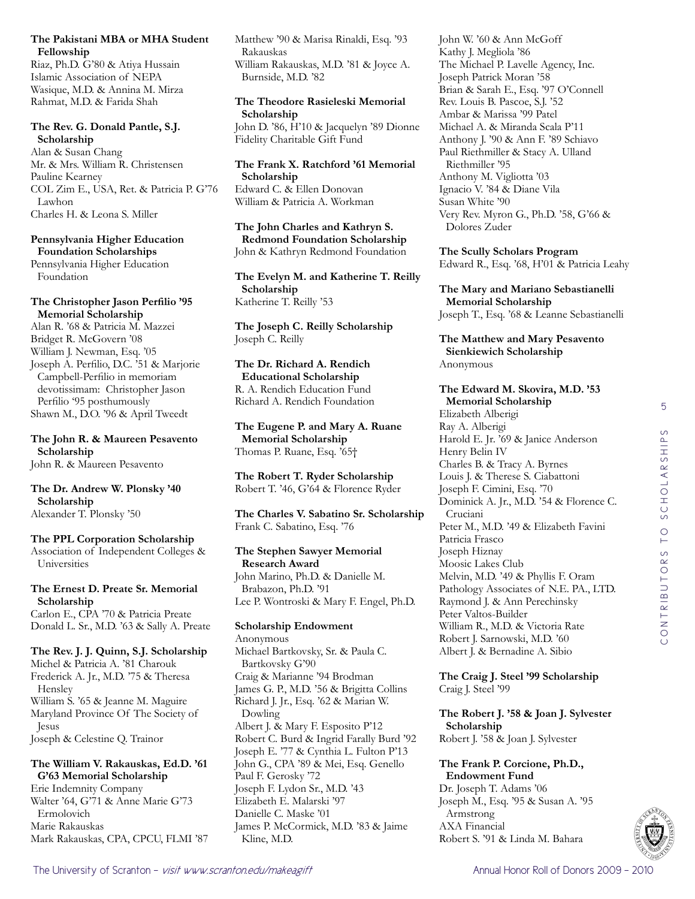# **The Pakistani MBA or MHA Student Fellowship**

Riaz, Ph.D. G'80 & Atiya Hussain Islamic Association of NEPA Wasique, M.D. & Annina M. Mirza Rahmat, M.D. & Farida Shah

# **The Rev. G. Donald Pantle, S.J. Scholarship**

Alan & Susan Chang Mr. & Mrs. William R. Christensen Pauline Kearney COL Zim E., USA, Ret. & Patricia P. G'76 Lawhon Charles H. & Leona S. Miller

# **Pennsylvania Higher Education Foundation Scholarships**

Pennsylvania Higher Education Foundation

# **The Christopher Jason Perfilio '95 Memorial Scholarship**

Alan R. '68 & Patricia M. Mazzei Bridget R. McGovern '08 William J. Newman, Esq. '05 Joseph A. Perfilio, D.C. '51 & Marjorie Campbell-Perfilio in memoriam devotissimam: Christopher Jason Perfilio '95 posthumously Shawn M., D.O. '96 & April Tweedt

**The John R. & Maureen Pesavento Scholarship** John R. & Maureen Pesavento

**The Dr. Andrew W. Plonsky '40 Scholarship** Alexander T. Plonsky '50

# **The PPL Corporation Scholarship**

Association of Independent Colleges & Universities

# **The Ernest D. Preate Sr. Memorial Scholarship**

Carlon E., CPA '70 & Patricia Preate Donald L. Sr., M.D. '63 & Sally A. Preate

# **The Rev. J. J. Quinn, S.J. Scholarship**

Michel & Patricia A. '81 Charouk Frederick A. Jr., M.D. '75 & Theresa Hensley William S. '65 & Jeanne M. Maguire Maryland Province Of The Society of Jesus Joseph & Celestine Q. Trainor

# **The William V. Rakauskas, Ed.D. '61 G'63 Memorial Scholarship**

Erie Indemnity Company Walter '64, G'71 & Anne Marie G'73 Ermolovich Marie Rakauskas Mark Rakauskas, CPA, CPCU, FLMI '87 Matthew '90 & Marisa Rinaldi, Esq. '93 Rakauskas William Rakauskas, M.D. '81 & Joyce A. Burnside, M.D. '82

# **The Theodore Rasieleski Memorial Scholarship**

John D. '86, H'10 & Jacquelyn '89 Dionne Fidelity Charitable Gift Fund

# **The Frank X. Ratchford '61 Memorial Scholarship** Edward C. & Ellen Donovan William & Patricia A. Workman

**The John Charles and Kathryn S. Redmond Foundation Scholarship** John & Kathryn Redmond Foundation

**The Evelyn M. and Katherine T. Reilly Scholarship** Katherine T. Reilly '53

**The Joseph C. Reilly Scholarship** Joseph C. Reilly

## **The Dr. Richard A. Rendich Educational Scholarship** R. A. Rendich Education Fund Richard A. Rendich Foundation

**The Eugene P. and Mary A. Ruane Memorial Scholarship** Thomas P. Ruane, Esq. '65†

**The Robert T. Ryder Scholarship** Robert T. '46, G'64 & Florence Ryder

**The Charles V. Sabatino Sr. Scholarship** Frank C. Sabatino, Esq. '76

# **The Stephen Sawyer Memorial Research Award**

John Marino, Ph.D. & Danielle M. Brabazon, Ph.D. '91 Lee P. Wontroski & Mary F. Engel, Ph.D.

# **Scholarship Endowment**

Anonymous Michael Bartkovsky, Sr. & Paula C. Bartkovsky G'90 Craig & Marianne '94 Brodman James G. P., M.D. '56 & Brigitta Collins Richard J. Jr., Esq. '62 & Marian W. Dowling Albert J. & Mary F. Esposito P'12 Robert C. Burd & Ingrid Farally Burd '92 Joseph E. '77 & Cynthia L. Fulton P'13 John G., CPA '89 & Mei, Esq. Genello Paul F. Gerosky '72 Joseph F. Lydon Sr., M.D. '43 Elizabeth E. Malarski '97 Danielle C. Maske '01 James P. McCormick, M.D. '83 & Jaime Kline, M.D.

John W. '60 & Ann McGoff Kathy J. Megliola '86 The Michael P. Lavelle Agency, Inc. Joseph Patrick Moran '58 Brian & Sarah E., Esq. '97 O'Connell Rev. Louis B. Pascoe, S.J. '52 Ambar & Marissa '99 Patel Michael A. & Miranda Scala P'11 Anthony J. '90 & Ann F. '89 Schiavo Paul Riethmiller & Stacy A. Ulland Riethmiller '95 Anthony M. Vigliotta '03 Ignacio V. '84 & Diane Vila Susan White '90 Very Rev. Myron G., Ph.D. '58, G'66 & Dolores Zuder

**The Scully Scholars Program** Edward R., Esq. '68, H'01 & Patricia Leahy

**The Mary and Mariano Sebastianelli Memorial Scholarship** Joseph T., Esq. '68 & Leanne Sebastianelli

**The Matthew and Mary Pesavento Sienkiewich Scholarship** Anonymous

## **The Edward M. Skovira, M.D. '53 Memorial Scholarship** Elizabeth Alberigi Ray A. Alberigi Harold E. Jr. '69 & Janice Anderson Henry Belin IV Charles B. & Tracy A. Byrnes Louis J. & Therese S. Ciabattoni Joseph F. Cimini, Esq. '70 Dominick A. Jr., M.D. '54 & Florence C. Cruciani Peter M., M.D. '49 & Elizabeth Favini Patricia Frasco Joseph Hiznay Moosic Lakes Club Melvin, M.D. '49 & Phyllis F. Oram Pathology Associates of N.E. PA., LTD. Raymond J. & Ann Perechinsky Peter Valtos-Builder William R., M.D. & Victoria Rate Robert J. Sarnowski, M.D. '60 Albert J. & Bernadine A. Sibio

**The Craig J. Steel '99 Scholarship** Craig J. Steel '99

**The Robert J. '58 & Joan J. Sylvester Scholarship** Robert J. '58 & Joan J. Sylvester

#### **The Frank P. Corcione, Ph.D., Endowment Fund**

Dr. Joseph T. Adams '06 Joseph M., Esq. '95 & Susan A. '95 Armstrong AXA Financial Robert S. '91 & Linda M. Bahara